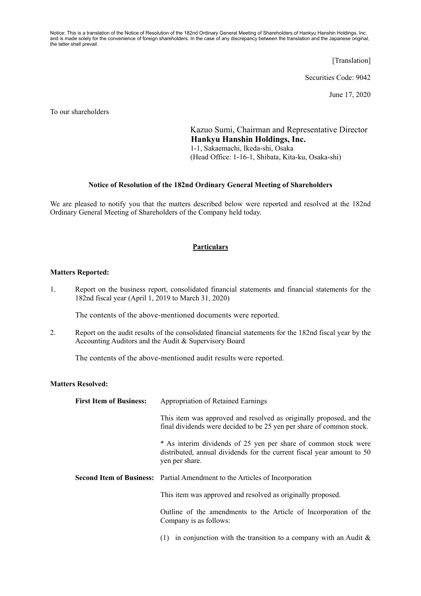Notice: This is a translation of the Notice of Resolution of the 182nd Ordinary General Meeting of Shareholders of Hankyu Hanshin Holdings, Inc. and is made solely for the convenience of foreign shareholders. In the case of any discrepancy between the translation and the Japanese original, the latter shall prevail.

[Translation]

Securities Code: 9042

June 17, 2020

To our shareholders

Kazuo Sumi, Chairman and Representative Director **Hankyu Hanshin Holdings, Inc.**  1-1, Sakaemachi, Ikeda-shi, Osaka (Head Office: 1-16-1, Shibata, Kita-ku, Osaka-shi)

## **Notice of Resolution of the 182nd Ordinary General Meeting of Shareholders**

We are pleased to notify you that the matters described below were reported and resolved at the 182nd Ordinary General Meeting of Shareholders of the Company held today.

## **Particulars**

## **Matters Reported:**

1. Report on the business report, consolidated financial statements and financial statements for the 182nd fiscal year (April 1, 2019 to March 31, 2020)

The contents of the above-mentioned documents were reported.

2. Report on the audit results of the consolidated financial statements for the 182nd fiscal year by the Accounting Auditors and the Audit & Supervisory Board

The contents of the above-mentioned audit results were reported.

## **Matters Resolved:**

| <b>First Item of Business:</b> | <b>Appropriation of Retained Earnings</b>                                                                                                                   |
|--------------------------------|-------------------------------------------------------------------------------------------------------------------------------------------------------------|
|                                | This item was approved and resolved as originally proposed, and the<br>final dividends were decided to be 25 yen per share of common stock.                 |
|                                | * As interim dividends of 25 yen per share of common stock were<br>distributed, annual dividends for the current fiscal year amount to 50<br>yen per share. |
|                                | <b>Second Item of Business:</b> Partial Amendment to the Articles of Incorporation                                                                          |
|                                | This item was approved and resolved as originally proposed.                                                                                                 |
|                                | Outline of the amendments to the Article of Incorporation of the<br>Company is as follows:                                                                  |
|                                | in conjunction with the transition to a company with an Audit $\&$<br>(1)                                                                                   |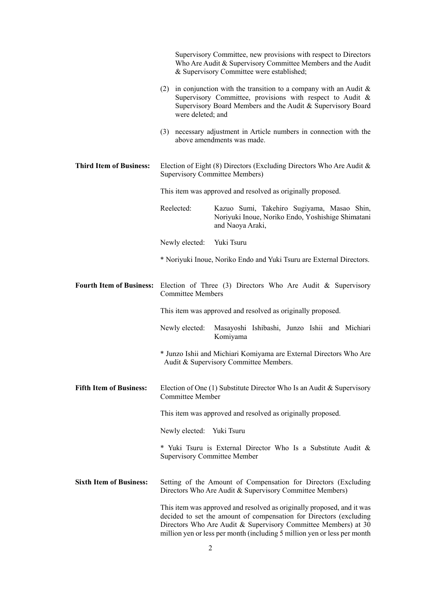|                                 | Supervisory Committee, new provisions with respect to Directors<br>Who Are Audit & Supervisory Committee Members and the Audit<br>& Supervisory Committee were established;                                                                                                                |
|---------------------------------|--------------------------------------------------------------------------------------------------------------------------------------------------------------------------------------------------------------------------------------------------------------------------------------------|
|                                 | (2) in conjunction with the transition to a company with an Audit $\&$<br>Supervisory Committee, provisions with respect to Audit &<br>Supervisory Board Members and the Audit & Supervisory Board<br>were deleted; and                                                                    |
|                                 | (3) necessary adjustment in Article numbers in connection with the<br>above amendments was made.                                                                                                                                                                                           |
| <b>Third Item of Business:</b>  | Election of Eight $(8)$ Directors (Excluding Directors Who Are Audit &<br><b>Supervisory Committee Members)</b>                                                                                                                                                                            |
|                                 | This item was approved and resolved as originally proposed.                                                                                                                                                                                                                                |
|                                 | Reelected:<br>Kazuo Sumi, Takehiro Sugiyama, Masao Shin,<br>Noriyuki Inoue, Noriko Endo, Yoshishige Shimatani<br>and Naoya Araki,                                                                                                                                                          |
|                                 | Yuki Tsuru<br>Newly elected:                                                                                                                                                                                                                                                               |
|                                 | * Noriyuki Inoue, Noriko Endo and Yuki Tsuru are External Directors.                                                                                                                                                                                                                       |
| <b>Fourth Item of Business:</b> | Election of Three $(3)$ Directors Who Are Audit & Supervisory<br><b>Committee Members</b>                                                                                                                                                                                                  |
|                                 | This item was approved and resolved as originally proposed.                                                                                                                                                                                                                                |
|                                 | Masayoshi Ishibashi, Junzo Ishii and Michiari<br>Newly elected:<br>Komiyama                                                                                                                                                                                                                |
|                                 | * Junzo Ishii and Michiari Komiyama are External Directors Who Are<br>Audit & Supervisory Committee Members.                                                                                                                                                                               |
| <b>Fifth Item of Business:</b>  | Election of One (1) Substitute Director Who Is an Audit & Supervisory<br><b>Committee Member</b>                                                                                                                                                                                           |
|                                 | This item was approved and resolved as originally proposed.                                                                                                                                                                                                                                |
|                                 | Newly elected: Yuki Tsuru                                                                                                                                                                                                                                                                  |
|                                 | * Yuki Tsuru is External Director Who Is a Substitute Audit &<br><b>Supervisory Committee Member</b>                                                                                                                                                                                       |
| <b>Sixth Item of Business:</b>  | Setting of the Amount of Compensation for Directors (Excluding<br>Directors Who Are Audit & Supervisory Committee Members)                                                                                                                                                                 |
|                                 | This item was approved and resolved as originally proposed, and it was<br>decided to set the amount of compensation for Directors (excluding<br>Directors Who Are Audit & Supervisory Committee Members) at 30<br>million yen or less per month (including 5 million yen or less per month |